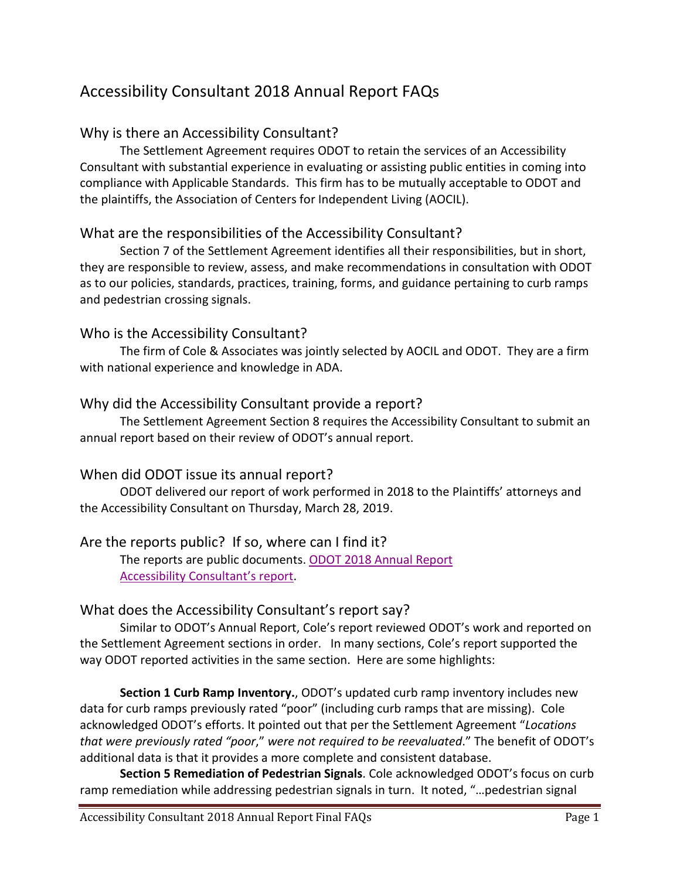# Accessibility Consultant 2018 Annual Report FAQs

# Why is there an Accessibility Consultant?

The Settlement Agreement requires ODOT to retain the services of an Accessibility Consultant with substantial experience in evaluating or assisting public entities in coming into compliance with Applicable Standards. This firm has to be mutually acceptable to ODOT and the plaintiffs, the Association of Centers for Independent Living (AOCIL).

## What are the responsibilities of the Accessibility Consultant?

Section 7 of the Settlement Agreement identifies all their responsibilities, but in short, they are responsible to review, assess, and make recommendations in consultation with ODOT as to our policies, standards, practices, training, forms, and guidance pertaining to curb ramps and pedestrian crossing signals.

## Who is the Accessibility Consultant?

The firm of Cole & Associates was jointly selected by AOCIL and ODOT. They are a firm with national experience and knowledge in ADA.

## Why did the Accessibility Consultant provide a report?

The Settlement Agreement Section 8 requires the Accessibility Consultant to submit an annual report based on their review of ODOT's annual report.

#### When did ODOT issue its annual report?

ODOT delivered our report of work performed in 2018 to the Plaintiffs' attorneys and the Accessibility Consultant on Thursday, March 28, 2019.

# Are the reports public? If so, where can I find it?

The reports are public documents. ODOT 2018 Annual Report [Accessibility Consultant's report.](https://www.oregon.gov/ODOT/About/Documents/2018-ADA-Accessibility-Consultant-Annual-Report.pdf)

# What does the Accessibility Consultant's report say?

Similar to ODOT's Annual Report, Cole's report reviewed ODOT's work and reported on the Settlement Agreement sections in order. In many sections, Cole's report supported the way ODOT reported activities in the same section. Here are some highlights:

**Section 1 Curb Ramp Inventory.**, ODOT's updated curb ramp inventory includes new data for curb ramps previously rated "poor" (including curb ramps that are missing). Cole acknowledged ODOT's efforts. It pointed out that per the Settlement Agreement "*Locations that were previously rated "poor*," *were not required to be reevaluated*." The benefit of ODOT's additional data is that it provides a more complete and consistent database.

**Section 5 Remediation of Pedestrian Signals**. Cole acknowledged ODOT's focus on curb ramp remediation while addressing pedestrian signals in turn. It noted, "…pedestrian signal